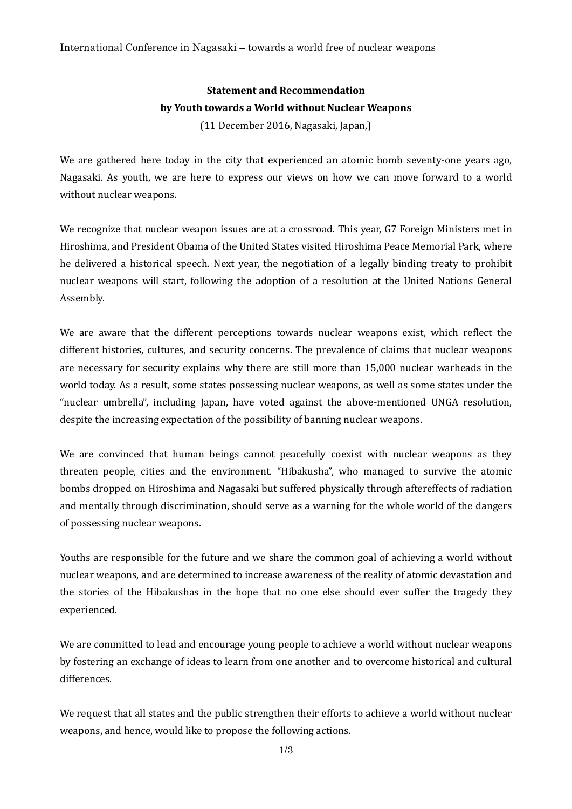# **Statement and Recommendation by Youth towards a World without Nuclear Weapons**

(11 December 2016, Nagasaki, Japan,)

We are gathered here today in the city that experienced an atomic bomb seventy-one years ago, Nagasaki. As youth, we are here to express our views on how we can move forward to a world without nuclear weapons.

We recognize that nuclear weapon issues are at a crossroad. This year, G7 Foreign Ministers met in Hiroshima, and President Obama of the United States visited Hiroshima Peace Memorial Park, where he delivered a historical speech. Next year, the negotiation of a legally binding treaty to prohibit nuclear weapons will start, following the adoption of a resolution at the United Nations General Assembly.

We are aware that the different perceptions towards nuclear weapons exist, which reflect the different histories, cultures, and security concerns. The prevalence of claims that nuclear weapons are necessary for security explains why there are still more than 15,000 nuclear warheads in the world today. As a result, some states possessing nuclear weapons, as well as some states under the "nuclear umbrella", including Japan, have voted against the above-mentioned UNGA resolution, despite the increasing expectation of the possibility of banning nuclear weapons.

We are convinced that human beings cannot peacefully coexist with nuclear weapons as they threaten people, cities and the environment. "Hibakusha", who managed to survive the atomic bombs dropped on Hiroshima and Nagasaki but suffered physically through aftereffects of radiation and mentally through discrimination, should serve as a warning for the whole world of the dangers of possessing nuclear weapons.

Youths are responsible for the future and we share the common goal of achieving a world without nuclear weapons, and are determined to increase awareness of the reality of atomic devastation and the stories of the Hibakushas in the hope that no one else should ever suffer the tragedy they experienced.

We are committed to lead and encourage young people to achieve a world without nuclear weapons by fostering an exchange of ideas to learn from one another and to overcome historical and cultural differences.

We request that all states and the public strengthen their efforts to achieve a world without nuclear weapons, and hence, would like to propose the following actions.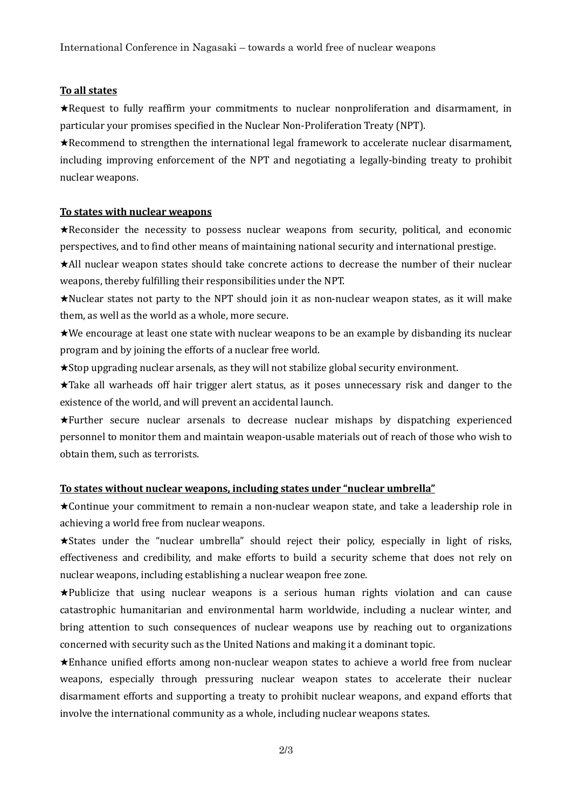## **To all states**

★Request to fully reaffirm your commitments to nuclear nonproliferation and disarmament, in particular your promises specified in the Nuclear Non-Proliferation Treaty (NPT).

★Recommend to strengthen the international legal framework to accelerate nuclear disarmament, including improving enforcement of the NPT and negotiating a legally-binding treaty to prohibit nuclear weapons.

#### **To states with nuclear weapons**

★Reconsider the necessity to possess nuclear weapons from security, political, and economic perspectives, and to find other means of maintaining national security and international prestige.

★All nuclear weapon states should take concrete actions to decrease the number of their nuclear weapons, thereby fulfilling their responsibilities under the NPT.

★Nuclear states not party to the NPT should join it as non-nuclear weapon states, as it will make them, as well as the world as a whole, more secure.

★We encourage at least one state with nuclear weapons to be an example by disbanding its nuclear program and by joining the efforts of a nuclear free world.

★Stop upgrading nuclear arsenals, as they will not stabilize global security environment.

★Take all warheads off hair trigger alert status, as it poses unnecessary risk and danger to the existence of the world, and will prevent an accidental launch.

★Further secure nuclear arsenals to decrease nuclear mishaps by dispatching experienced personnel to monitor them and maintain weapon-usable materials out of reach of those who wish to obtain them, such as terrorists.

## **To states without nuclear weapons, including states under "nuclear umbrella"**

★Continue your commitment to remain a non-nuclear weapon state, and take a leadership role in achieving a world free from nuclear weapons.

★States under the "nuclear umbrella" should reject their policy, especially in light of risks, effectiveness and credibility, and make efforts to build a security scheme that does not rely on nuclear weapons, including establishing a nuclear weapon free zone.

★Publicize that using nuclear weapons is a serious human rights violation and can cause catastrophic humanitarian and environmental harm worldwide, including a nuclear winter, and bring attention to such consequences of nuclear weapons use by reaching out to organizations concerned with security such as the United Nations and making it a dominant topic.

★Enhance unified efforts among non-nuclear weapon states to achieve a world free from nuclear weapons, especially through pressuring nuclear weapon states to accelerate their nuclear disarmament efforts and supporting a treaty to prohibit nuclear weapons, and expand efforts that involve the international community as a whole, including nuclear weapons states.